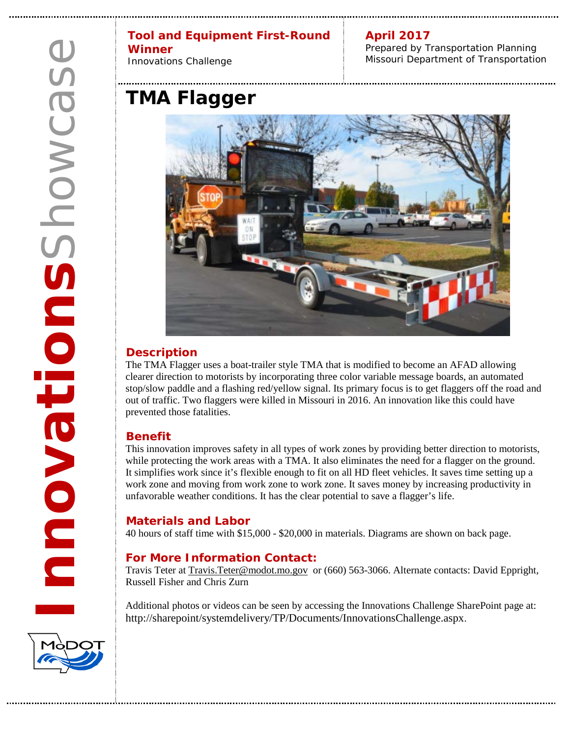#### **Tool and Equipment First-Round Winner**

Innovations Challenge

**April 2017** Prepared by Transportation Planning Missouri Department of Transportation

# **TMA Flagger**



## **Description**

The TMA Flagger uses a boat-trailer style TMA that is modified to become an AFAD allowing clearer direction to motorists by incorporating three color variable message boards, an automated stop/slow paddle and a flashing red/yellow signal. Its primary focus is to get flaggers off the road and out of traffic. Two flaggers were killed in Missouri in 2016. An innovation like this could have prevented those fatalities.

### **Benefit**

This innovation improves safety in all types of work zones by providing better direction to motorists, while protecting the work areas with a TMA. It also eliminates the need for a flagger on the ground. It simplifies work since it's flexible enough to fit on all HD fleet vehicles. It saves time setting up a work zone and moving from work zone to work zone. It saves money by increasing productivity in unfavorable weather conditions. It has the clear potential to save a flagger's life.

### **Materials and Labor**

40 hours of staff time with \$15,000 - \$20,000 in materials. Diagrams are shown on back page.

### **For More Information Contact:**

Travis Teter at [Travis.Teter@modot.mo.gov](mailto:Travis.Teter@modot.mo.gov) or (660) 563-3066. Alternate contacts: David Eppright, Russell Fisher and Chris Zurn

Additional photos or videos can be seen by accessing the Innovations Challenge SharePoint page at: [http://sharepoint/systemdelivery/TP/Documents/InnovationsChallenge.aspx.](http://sharepoint/systemdelivery/TP/Documents/InnovationsChallenge.aspx)